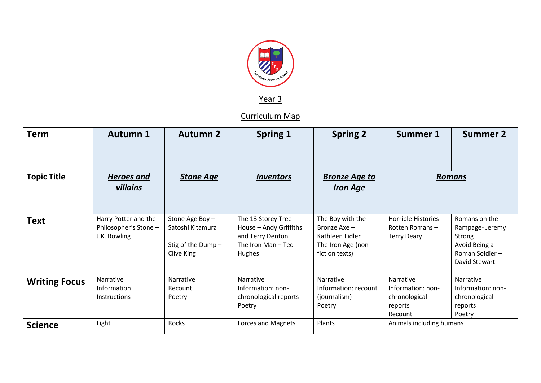

Year 3

Curriculum Map

| <b>Term</b>          | <b>Autumn 1</b>                                               | <b>Autumn 2</b>                                                       | <b>Spring 1</b>                                                                                       | <b>Spring 2</b>                                                                             | Summer 1                                                              | <b>Summer 2</b>                                                                                |
|----------------------|---------------------------------------------------------------|-----------------------------------------------------------------------|-------------------------------------------------------------------------------------------------------|---------------------------------------------------------------------------------------------|-----------------------------------------------------------------------|------------------------------------------------------------------------------------------------|
| <b>Topic Title</b>   | <b>Heroes and</b><br>villains                                 | <b>Stone Age</b>                                                      | <i><b>Inventors</b></i>                                                                               | <b>Bronze Age to</b><br><b>Iron Age</b>                                                     | <b>Romans</b>                                                         |                                                                                                |
| Text                 | Harry Potter and the<br>Philosopher's Stone -<br>J.K. Rowling | Stone Age Boy-<br>Satoshi Kitamura<br>Stig of the Dump-<br>Clive King | The 13 Storey Tree<br>House - Andy Griffiths<br>and Terry Denton<br>The Iron Man-Ted<br><b>Hughes</b> | The Boy with the<br>Bronze Axe -<br>Kathleen Fidler<br>The Iron Age (non-<br>fiction texts) | Horrible Histories-<br>Rotten Romans-<br><b>Terry Deary</b>           | Romans on the<br>Rampage- Jeremy<br>Strong<br>Avoid Being a<br>Roman Soldier-<br>David Stewart |
| <b>Writing Focus</b> | Narrative<br>Information<br><b>Instructions</b>               | Narrative<br>Recount<br>Poetry                                        | Narrative<br>Information: non-<br>chronological reports<br>Poetry                                     | Narrative<br>Information: recount<br>(journalism)<br>Poetry                                 | Narrative<br>Information: non-<br>chronological<br>reports<br>Recount | Narrative<br>Information: non-<br>chronological<br>reports<br>Poetry                           |
| <b>Science</b>       | Light                                                         | Rocks                                                                 | Forces and Magnets                                                                                    | Plants                                                                                      | Animals including humans                                              |                                                                                                |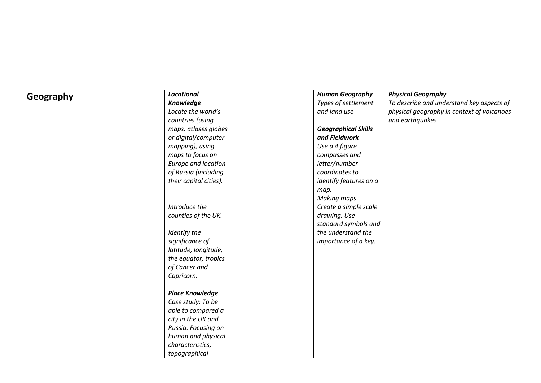| Geography | Locational                 | <b>Human Geography</b>     | <b>Physical Geography</b>                  |
|-----------|----------------------------|----------------------------|--------------------------------------------|
|           | <b>Knowledge</b>           | Types of settlement        | To describe and understand key aspects of  |
|           | Locate the world's         | and land use               | physical geography in context of volcanoes |
|           | countries (using           |                            | and earthquakes                            |
|           | maps, atlases globes       | <b>Geographical Skills</b> |                                            |
|           | or digital/computer        | and Fieldwork              |                                            |
|           | mapping), using            | Use a 4 figure             |                                            |
|           | maps to focus on           | compasses and              |                                            |
|           | <b>Europe and location</b> | letter/number              |                                            |
|           | of Russia (including       | coordinates to             |                                            |
|           | their capital cities).     | identify features on a     |                                            |
|           |                            | map.                       |                                            |
|           |                            | <b>Making maps</b>         |                                            |
|           | Introduce the              | Create a simple scale      |                                            |
|           | counties of the UK.        | drawing. Use               |                                            |
|           |                            | standard symbols and       |                                            |
|           | Identify the               | the understand the         |                                            |
|           | significance of            | importance of a key.       |                                            |
|           | latitude, longitude,       |                            |                                            |
|           | the equator, tropics       |                            |                                            |
|           | of Cancer and              |                            |                                            |
|           | Capricorn.                 |                            |                                            |
|           |                            |                            |                                            |
|           | <b>Place Knowledge</b>     |                            |                                            |
|           | Case study: To be          |                            |                                            |
|           | able to compared a         |                            |                                            |
|           | city in the UK and         |                            |                                            |
|           | Russia. Focusing on        |                            |                                            |
|           | human and physical         |                            |                                            |
|           | characteristics,           |                            |                                            |
|           | topographical              |                            |                                            |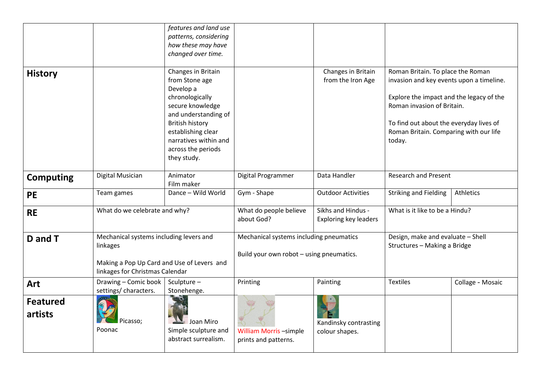|                            |                                                                                                                                      | features and land use<br>patterns, considering<br>how these may have<br>changed over time.                                                                                                                                     |                                                                                     |                                                    |                                                                                                                                                                                                                                                        |                  |
|----------------------------|--------------------------------------------------------------------------------------------------------------------------------------|--------------------------------------------------------------------------------------------------------------------------------------------------------------------------------------------------------------------------------|-------------------------------------------------------------------------------------|----------------------------------------------------|--------------------------------------------------------------------------------------------------------------------------------------------------------------------------------------------------------------------------------------------------------|------------------|
| <b>History</b>             |                                                                                                                                      | Changes in Britain<br>from Stone age<br>Develop a<br>chronologically<br>secure knowledge<br>and understanding of<br><b>British history</b><br>establishing clear<br>narratives within and<br>across the periods<br>they study. |                                                                                     | Changes in Britain<br>from the Iron Age            | Roman Britain. To place the Roman<br>invasion and key events upon a timeline.<br>Explore the impact and the legacy of the<br>Roman invasion of Britain.<br>To find out about the everyday lives of<br>Roman Britain. Comparing with our life<br>today. |                  |
| <b>Computing</b>           | Digital Musician                                                                                                                     | Animator<br>Film maker                                                                                                                                                                                                         | Digital Programmer                                                                  | Data Handler                                       | <b>Research and Present</b>                                                                                                                                                                                                                            |                  |
| PE                         | Team games                                                                                                                           | Dance - Wild World                                                                                                                                                                                                             | Gym - Shape                                                                         | <b>Outdoor Activities</b>                          | <b>Striking and Fielding</b>                                                                                                                                                                                                                           | Athletics        |
| <b>RE</b>                  | What do we celebrate and why?                                                                                                        |                                                                                                                                                                                                                                | What do people believe<br>about God?                                                | Sikhs and Hindus -<br><b>Exploring key leaders</b> | What is it like to be a Hindu?                                                                                                                                                                                                                         |                  |
| D and T                    | Mechanical systems including levers and<br>linkages<br>Making a Pop Up Card and Use of Levers and<br>linkages for Christmas Calendar |                                                                                                                                                                                                                                | Mechanical systems including pneumatics<br>Build your own robot - using pneumatics. |                                                    | Design, make and evaluate - Shell<br>Structures - Making a Bridge                                                                                                                                                                                      |                  |
| Art                        | Drawing - Comic book<br>settings/ characters.                                                                                        | Sculpture -<br>Stonehenge.                                                                                                                                                                                                     | Printing                                                                            | Painting                                           | <b>Textiles</b>                                                                                                                                                                                                                                        | Collage - Mosaic |
| <b>Featured</b><br>artists | Picasso;<br>Poonac                                                                                                                   | Joan Miro<br>Simple sculpture and<br>abstract surrealism.                                                                                                                                                                      | <b>William Morris-simple</b><br>prints and patterns.                                | Kandinsky contrasting<br>colour shapes.            |                                                                                                                                                                                                                                                        |                  |